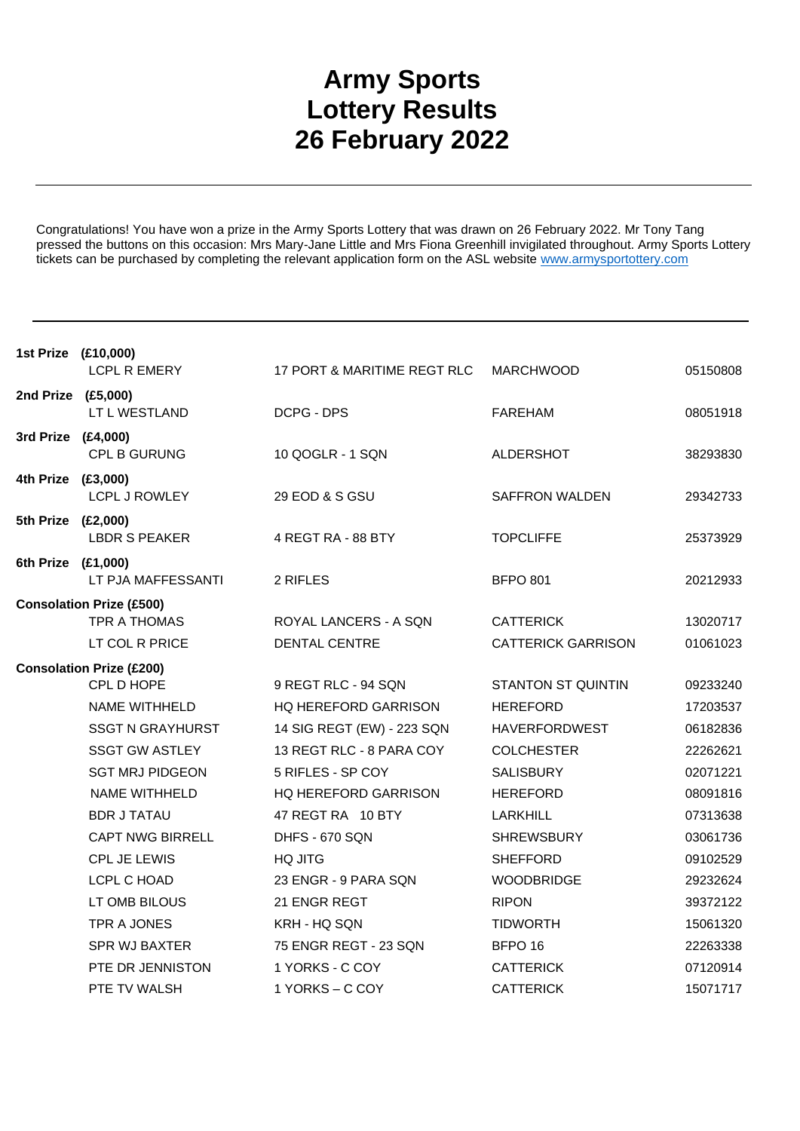## **Army Sports Lottery Results 26 February 2022**

Congratulations! You have won a prize in the Army Sports Lottery that was drawn on 26 February 2022. Mr Tony Tang pressed the buttons on this occasion: Mrs Mary-Jane Little and Mrs Fiona Greenhill invigilated throughout. Army Sports Lottery tickets can be purchased by completing the relevant application form on the ASL website www.armysportottery.com

| 1st Prize (£10,000)             | <b>LCPL R EMERY</b>                             | 17 PORT & MARITIME REGT RLC | <b>MARCHWOOD</b>          | 05150808 |
|---------------------------------|-------------------------------------------------|-----------------------------|---------------------------|----------|
| 2nd Prize (£5,000)              | LT L WESTLAND                                   | DCPG - DPS                  | <b>FAREHAM</b>            | 08051918 |
| 3rd Prize (£4,000)              | CPL B GURUNG                                    | 10 QOGLR - 1 SQN            | ALDERSHOT                 | 38293830 |
| 4th Prize (£3,000)              | <b>LCPL J ROWLEY</b>                            | 29 EOD & S GSU              | <b>SAFFRON WALDEN</b>     | 29342733 |
| 5th Prize (£2,000)              | <b>LBDR S PEAKER</b>                            | 4 REGT RA - 88 BTY          | <b>TOPCLIFFE</b>          | 25373929 |
| 6th Prize (£1,000)              | LT PJA MAFFESSANTI                              | 2 RIFLES                    | <b>BFPO 801</b>           | 20212933 |
|                                 | <b>Consolation Prize (£500)</b><br>TPR A THOMAS | ROYAL LANCERS - A SQN       | <b>CATTERICK</b>          | 13020717 |
|                                 | LT COL R PRICE                                  | <b>DENTAL CENTRE</b>        | <b>CATTERICK GARRISON</b> | 01061023 |
| <b>Consolation Prize (£200)</b> |                                                 |                             |                           |          |
|                                 | CPL D HOPE                                      | 9 REGT RLC - 94 SQN         | <b>STANTON ST QUINTIN</b> | 09233240 |
|                                 | <b>NAME WITHHELD</b>                            | HQ HEREFORD GARRISON        | <b>HEREFORD</b>           | 17203537 |
|                                 | <b>SSGT N GRAYHURST</b>                         | 14 SIG REGT (EW) - 223 SQN  | <b>HAVERFORDWEST</b>      | 06182836 |
|                                 | <b>SSGT GW ASTLEY</b>                           | 13 REGT RLC - 8 PARA COY    | <b>COLCHESTER</b>         | 22262621 |
|                                 | <b>SGT MRJ PIDGEON</b>                          | 5 RIFLES - SP COY           | <b>SALISBURY</b>          | 02071221 |
|                                 | NAME WITHHELD                                   | HQ HEREFORD GARRISON        | <b>HEREFORD</b>           | 08091816 |
|                                 | <b>BDR J TATAU</b>                              | 47 REGT RA 10 BTY           | LARKHILL                  | 07313638 |
|                                 | <b>CAPT NWG BIRRELL</b>                         | DHFS - 670 SQN              | <b>SHREWSBURY</b>         | 03061736 |
|                                 | <b>CPL JE LEWIS</b>                             | <b>HQ JITG</b>              | <b>SHEFFORD</b>           | 09102529 |
|                                 | LCPL C HOAD                                     | 23 ENGR - 9 PARA SQN        | <b>WOODBRIDGE</b>         | 29232624 |
|                                 | LT OMB BILOUS                                   | 21 ENGR REGT                | <b>RIPON</b>              | 39372122 |
|                                 | TPR A JONES                                     | KRH - HQ SQN                | <b>TIDWORTH</b>           | 15061320 |
|                                 | <b>SPR WJ BAXTER</b>                            | 75 ENGR REGT - 23 SQN       | BFPO <sub>16</sub>        | 22263338 |
|                                 | PTE DR JENNISTON                                | 1 YORKS - C COY             | <b>CATTERICK</b>          | 07120914 |
|                                 | PTE TV WALSH                                    | 1 YORKS - C COY             | <b>CATTERICK</b>          | 15071717 |